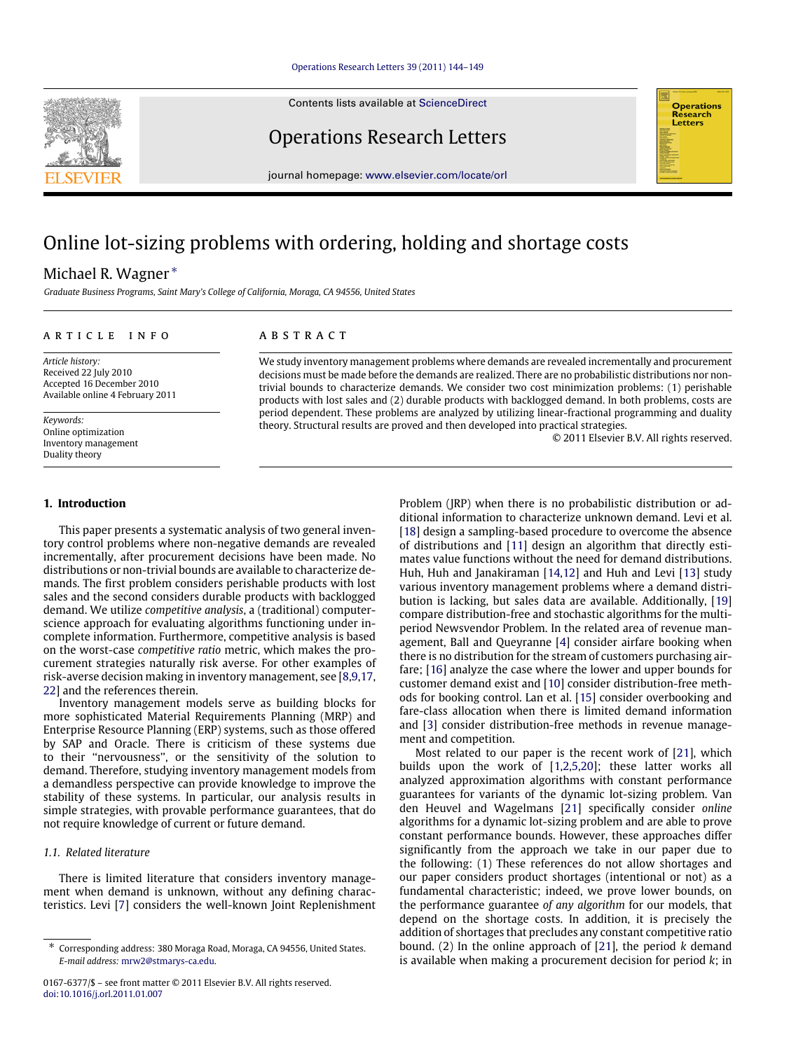Contents lists available at [ScienceDirect](http://www.elsevier.com/locate/orl)

Operations Research Letters

journal homepage: [www.elsevier.com/locate/orl](http://www.elsevier.com/locate/orl)

# Online lot-sizing problems with ordering, holding and shortage costs

# Michael R. Wagner [∗](#page-0-0)

*Graduate Business Programs, Saint Mary's College of California, Moraga, CA 94556, United States*

#### a r t i c l e i n f o

*Article history:* Received 22 July 2010 Accepted 16 December 2010 Available online 4 February 2011

*Keywords:* Online optimization Inventory management Duality theory

#### **1. Introduction**

This paper presents a systematic analysis of two general inventory control problems where non-negative demands are revealed incrementally, after procurement decisions have been made. No distributions or non-trivial bounds are available to characterize demands. The first problem considers perishable products with lost sales and the second considers durable products with backlogged demand. We utilize *competitive analysis*, a (traditional) computerscience approach for evaluating algorithms functioning under incomplete information. Furthermore, competitive analysis is based on the worst-case *competitive ratio* metric, which makes the procurement strategies naturally risk averse. For other examples of risk-averse decision making in inventory management, see [\[8](#page-5-0)[,9](#page-5-1)[,17,](#page-5-2) [22\]](#page-5-3) and the references therein.

Inventory management models serve as building blocks for more sophisticated Material Requirements Planning (MRP) and Enterprise Resource Planning (ERP) systems, such as those offered by SAP and Oracle. There is criticism of these systems due to their ''nervousness'', or the sensitivity of the solution to demand. Therefore, studying inventory management models from a demandless perspective can provide knowledge to improve the stability of these systems. In particular, our analysis results in simple strategies, with provable performance guarantees, that do not require knowledge of current or future demand.

# *1.1. Related literature*

There is limited literature that considers inventory management when demand is unknown, without any defining characteristics. Levi [\[7\]](#page-5-4) considers the well-known Joint Replenishment

# A B S T R A C T

We study inventory management problems where demands are revealed incrementally and procurement decisions must be made before the demands are realized. There are no probabilistic distributions nor nontrivial bounds to characterize demands. We consider two cost minimization problems: (1) perishable products with lost sales and (2) durable products with backlogged demand. In both problems, costs are period dependent. These problems are analyzed by utilizing linear-fractional programming and duality theory. Structural results are proved and then developed into practical strategies.

© 2011 Elsevier B.V. All rights reserved.

Problem (JRP) when there is no probabilistic distribution or additional information to characterize unknown demand. Levi et al. [\[18\]](#page-5-5) design a sampling-based procedure to overcome the absence of distributions and [\[11\]](#page-5-6) design an algorithm that directly estimates value functions without the need for demand distributions. Huh, Huh and Janakiraman [\[14,](#page-5-7)[12\]](#page-5-8) and Huh and Levi [\[13\]](#page-5-9) study various inventory management problems where a demand distribution is lacking, but sales data are available. Additionally, [\[19\]](#page-5-10) compare distribution-free and stochastic algorithms for the multiperiod Newsvendor Problem. In the related area of revenue management, Ball and Queyranne [\[4\]](#page-5-11) consider airfare booking when there is no distribution for the stream of customers purchasing airfare; [\[16\]](#page-5-12) analyze the case where the lower and upper bounds for customer demand exist and [\[10\]](#page-5-13) consider distribution-free methods for booking control. Lan et al. [\[15\]](#page-5-14) consider overbooking and fare-class allocation when there is limited demand information and [\[3\]](#page-5-15) consider distribution-free methods in revenue management and competition.

Most related to our paper is the recent work of [\[21\]](#page-5-16), which builds upon the work of [\[1](#page-5-17)[,2,](#page-5-18)[5,](#page-5-19)[20\]](#page-5-20); these latter works all analyzed approximation algorithms with constant performance guarantees for variants of the dynamic lot-sizing problem. Van den Heuvel and Wagelmans [\[21\]](#page-5-16) specifically consider *online* algorithms for a dynamic lot-sizing problem and are able to prove constant performance bounds. However, these approaches differ significantly from the approach we take in our paper due to the following: (1) These references do not allow shortages and our paper considers product shortages (intentional or not) as a fundamental characteristic; indeed, we prove lower bounds, on the performance guarantee *of any algorithm* for our models, that depend on the shortage costs. In addition, it is precisely the addition of shortages that precludes any constant competitive ratio bound. (2) In the online approach of [\[21\]](#page-5-16), the period *k* demand is available when making a procurement decision for period *k*; in





<span id="page-0-0"></span><sup>∗</sup> Corresponding address: 380 Moraga Road, Moraga, CA 94556, United States. *E-mail address:* [mrw2@stmarys-ca.edu.](mailto:mrw2@stmarys-ca.edu)

<sup>0167-6377/\$ –</sup> see front matter © 2011 Elsevier B.V. All rights reserved. [doi:10.1016/j.orl.2011.01.007](http://dx.doi.org/10.1016/j.orl.2011.01.007)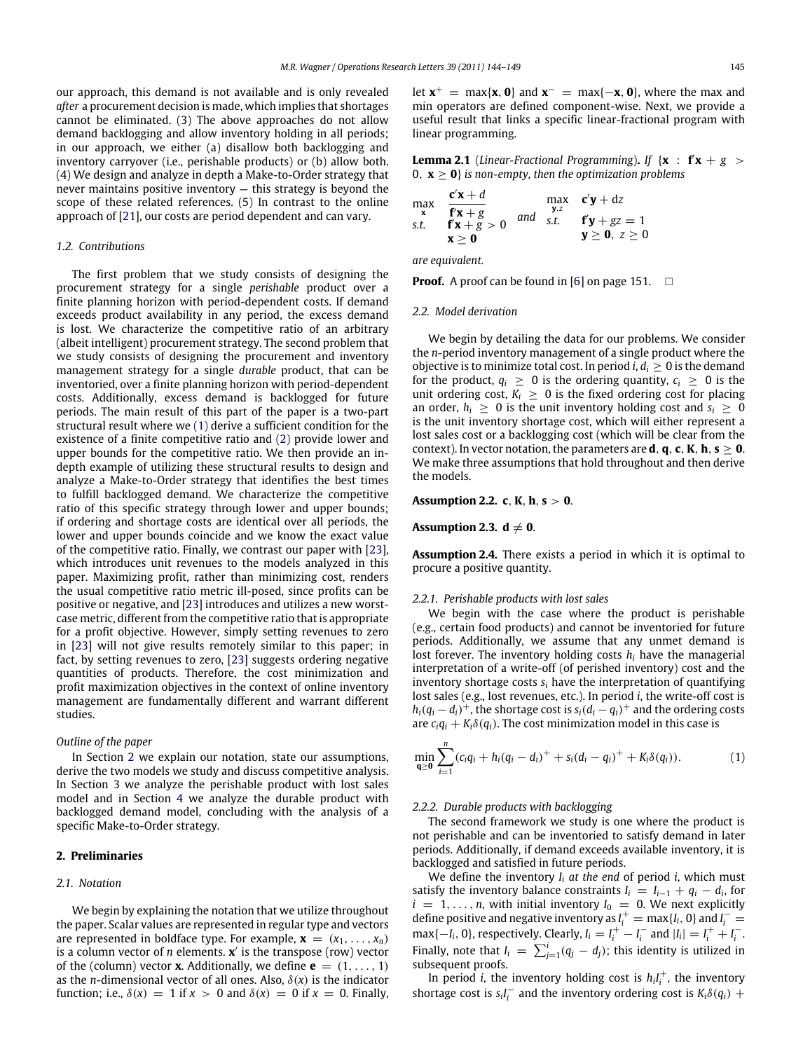our approach, this demand is not available and is only revealed *after* a procurement decision is made, which implies that shortages cannot be eliminated. (3) The above approaches do not allow demand backlogging and allow inventory holding in all periods; in our approach, we either (a) disallow both backlogging and inventory carryover (i.e., perishable products) or (b) allow both. (4) We design and analyze in depth a Make-to-Order strategy that never maintains positive inventory — this strategy is beyond the scope of these related references. (5) In contrast to the online approach of [\[21\]](#page-5-16), our costs are period dependent and can vary.

#### *1.2. Contributions*

The first problem that we study consists of designing the procurement strategy for a single *perishable* product over a finite planning horizon with period-dependent costs. If demand exceeds product availability in any period, the excess demand is lost. We characterize the competitive ratio of an arbitrary (albeit intelligent) procurement strategy. The second problem that we study consists of designing the procurement and inventory management strategy for a single *durable* product, that can be inventoried, over a finite planning horizon with period-dependent costs. Additionally, excess demand is backlogged for future periods. The main result of this part of the paper is a two-part structural result where we [\(1\)](#page-1-0) derive a sufficient condition for the existence of a finite competitive ratio and [\(2\)](#page-2-0) provide lower and upper bounds for the competitive ratio. We then provide an indepth example of utilizing these structural results to design and analyze a Make-to-Order strategy that identifies the best times to fulfill backlogged demand. We characterize the competitive ratio of this specific strategy through lower and upper bounds; if ordering and shortage costs are identical over all periods, the lower and upper bounds coincide and we know the exact value of the competitive ratio. Finally, we contrast our paper with [\[23\]](#page-5-21), which introduces unit revenues to the models analyzed in this paper. Maximizing profit, rather than minimizing cost, renders the usual competitive ratio metric ill-posed, since profits can be positive or negative, and [\[23\]](#page-5-21) introduces and utilizes a new worstcase metric, different from the competitive ratio that is appropriate for a profit objective. However, simply setting revenues to zero in [\[23\]](#page-5-21) will not give results remotely similar to this paper; in fact, by setting revenues to zero, [\[23\]](#page-5-21) suggests ordering negative quantities of products. Therefore, the cost minimization and profit maximization objectives in the context of online inventory management are fundamentally different and warrant different studies.

# *Outline of the paper*

In Section [2](#page-1-1) we explain our notation, state our assumptions, derive the two models we study and discuss competitive analysis. In Section [3](#page-2-1) we analyze the perishable product with lost sales model and in Section [4](#page-3-0) we analyze the durable product with backlogged demand model, concluding with the analysis of a specific Make-to-Order strategy.

# <span id="page-1-1"></span>**2. Preliminaries**

#### *2.1. Notation*

We begin by explaining the notation that we utilize throughout the paper. Scalar values are represented in regular type and vectors are represented in boldface type. For example,  $\mathbf{x} = (x_1, \ldots, x_n)$ is a column vector of *n* elements.  $\mathbf{x}'$  is the transpose (row) vector of the (column) vector **x**. Additionally, we define  $\mathbf{e} = (1, \ldots, 1)$ as the *n*-dimensional vector of all ones. Also,  $\delta(x)$  is the indicator function; i.e.,  $\delta(x) = 1$  if  $x > 0$  and  $\delta(x) = 0$  if  $x = 0$ . Finally,

let  $x^+$  = max{ $x$ , **0**} and  $x^-$  = max{ $-x$ , **0**}, where the max and min operators are defined component-wise. Next, we provide a useful result that links a specific linear-fractional program with linear programming.

<span id="page-1-4"></span>**Lemma 2.1** (*Linear-Fractional Programming*). *If* { $x : f'x + g$  > 0,  $x > 0$  *is non-empty, then the optimization problems* 

$$
\begin{array}{ll}\n\max \limits_{\mathbf{x}} & \frac{\mathbf{c}'\mathbf{x} + d}{\mathbf{f}'\mathbf{x} + g} & \max \limits_{\mathbf{y}, z} & \mathbf{c}'\mathbf{y} + dz \\
\text{s.t.} & \frac{\mathbf{f}'\mathbf{x} + g}{\mathbf{x} \geq \mathbf{0}} & \text{and} & \text{s.t.} & \mathbf{f}'\mathbf{y} + gz = 1 \\
\mathbf{x} \geq \mathbf{0} & \mathbf{y} \geq \mathbf{0}, & z \geq 0\n\end{array}
$$

*are equivalent.*

**Proof.** A proof can be found in [\[6\]](#page-5-22) on page 151.  $\Box$ 

#### *2.2. Model derivation*

We begin by detailing the data for our problems. We consider the *n*-period inventory management of a single product where the objective is to minimize total cost. In period *i*,  $d_i \geq 0$  is the demand for the product,  $q_i \geq 0$  is the ordering quantity,  $c_i \geq 0$  is the unit ordering cost,  $K_i \geq 0$  is the fixed ordering cost for placing an order,  $h_i \geq 0$  is the unit inventory holding cost and  $s_i \geq 0$ is the unit inventory shortage cost, which will either represent a lost sales cost or a backlogging cost (which will be clear from the context). In vector notation, the parameters are **d**, **q**, **c**, **K**, **h**,  $s \ge 0$ . We make three assumptions that hold throughout and then derive the models.

#### <span id="page-1-2"></span>**Assumption 2.2. c**, **K**, **h**, **s** > **0**.

#### <span id="page-1-5"></span>**Assumption 2.3.**  $d \neq 0$ .

<span id="page-1-3"></span>**Assumption 2.4.** There exists a period in which it is optimal to procure a positive quantity.

#### *2.2.1. Perishable products with lost sales*

We begin with the case where the product is perishable (e.g., certain food products) and cannot be inventoried for future periods. Additionally, we assume that any unmet demand is lost forever. The inventory holding costs *h<sup>i</sup>* have the managerial interpretation of a write-off (of perished inventory) cost and the inventory shortage costs *s<sup>i</sup>* have the interpretation of quantifying lost sales (e.g., lost revenues, etc.). In period *i*, the write-off cost is  $h_i(q_i - d_i)^+$ , the shortage cost is  $s_i(d_i - q_i)^+$  and the ordering costs are  $c_i q_i + K_i \delta(q_i)$ . The cost minimization model in this case is

<span id="page-1-0"></span>
$$
\min_{\mathbf{q}\geq\mathbf{0}}\sum_{i=1}^n(c_iq_i+h_i(q_i-d_i)^+ + s_i(d_i-q_i)^+ + K_i\delta(q_i)).\hspace{1cm}(1)
$$

#### *2.2.2. Durable products with backlogging*

The second framework we study is one where the product is not perishable and can be inventoried to satisfy demand in later periods. Additionally, if demand exceeds available inventory, it is backlogged and satisfied in future periods.

We define the inventory *I<sup>i</sup> at the end* of period *i*, which must satisfy the inventory balance constraints  $I_i = I_{i-1} + q_i - d_i$ , for  $i = 1, \ldots, n$ , with initial inventory  $I_0 = 0$ . We next explicitly define positive and negative inventory as  $I_i^+$  = max $\{I_i, 0\}$  and  $I_i^-$  =  $\max\{-I_i, 0\}$ , respectively. Clearly,  $I_i = I_i^+ - I_i^-$  and  $|I_i| = I_i^+ + I_i^-$ . Finally, note that  $I_i = \sum_{j=1}^i (q_j - d_j)$ ; this identity is utilized in subsequent proofs.

In period *i*, the inventory holding cost is  $h_i I_i^+$ , the inventory shortage cost is  $s_i I_i^-$  and the inventory ordering cost is  $K_i \delta(q_i)$  +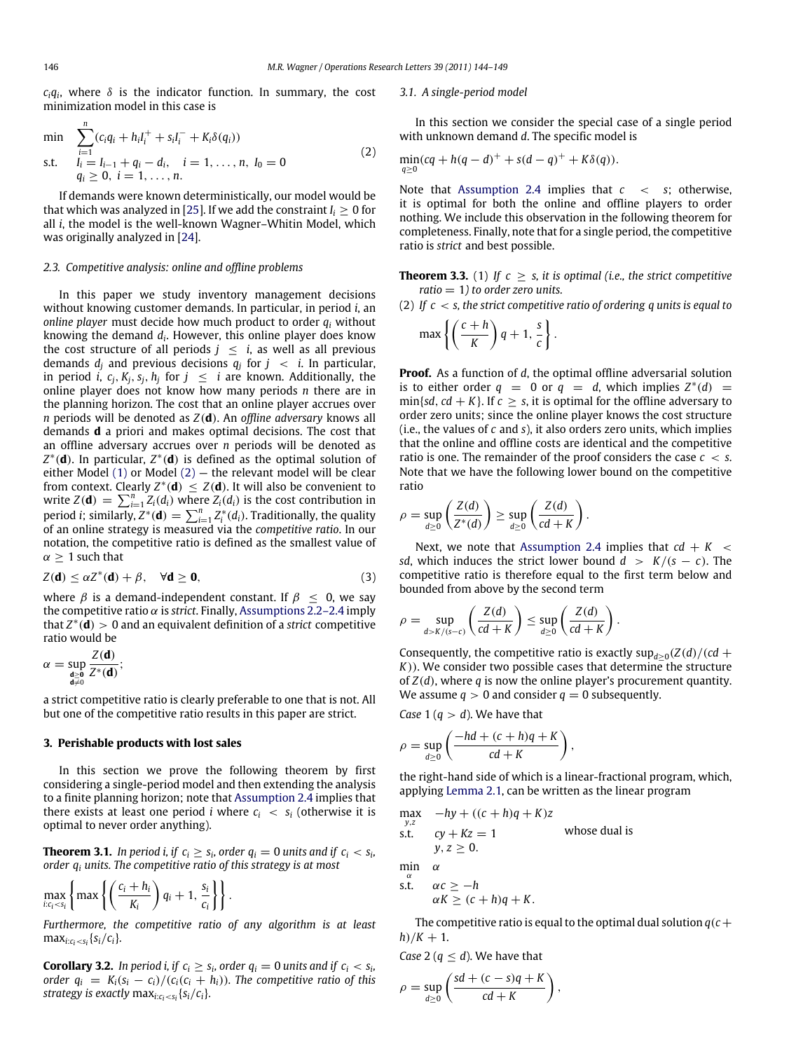$c_i q_i$ , where  $\delta$  is the indicator function. In summary, the cost minimization model in this case is

$$
\min \sum_{i=1}^{n} (c_i q_i + h_i l_i^+ + s_i l_i^- + K_i \delta(q_i))
$$
\n
$$
\text{s.t.} \quad l_i = l_{i-1} + q_i - d_i, \quad i = 1, \dots, n, \ l_0 = 0
$$
\n
$$
q_i \geq 0, \ i = 1, \dots, n.
$$
\n
$$
(2)
$$

If demands were known deterministically, our model would be that which was analyzed in [\[25\]](#page-5-23). If we add the constraint  $I_i > 0$  for all *i*, the model is the well-known Wagner–Whitin Model, which was originally analyzed in [\[24\]](#page-5-24).

#### *2.3. Competitive analysis: online and offline problems*

In this paper we study inventory management decisions without knowing customer demands. In particular, in period *i*, an *online player* must decide how much product to order *q<sup>i</sup>* without knowing the demand *d<sup>i</sup>* . However, this online player does know the cost structure of all periods  $j \leq i$ , as well as all previous demands *d<sup>j</sup>* and previous decisions *q<sup>j</sup>* for *j* < *i*. In particular, in period  $i$ ,  $c_j$ ,  $K_j$ ,  $s_j$ ,  $h_j$  for  $j~\leq~$   $i$  are known. Additionally, the online player does not know how many periods *n* there are in the planning horizon. The cost that an online player accrues over *n* periods will be denoted as *Z*(**d**). An *offline adversary* knows all demands **d** a priori and makes optimal decisions. The cost that an offline adversary accrues over *n* periods will be denoted as *Z* ∗ (**d**). In particular, *Z* ∗ (**d**) is defined as the optimal solution of either Model  $(1)$  or Model  $(2)$  – the relevant model will be clear from context. Clearly  $Z^*(\mathbf{d}) \leq Z(\mathbf{d})$ . It will also be convenient to write  $Z(\mathbf{d}) = \sum_{i=1}^{n} Z_i(d_i)$  where  $Z_i(d_i)$  is the cost contribution in period *i*; similarly,  $Z^*(d) = \sum_{i=1}^n Z_i^*(d_i)$ . Traditionally, the quality of an online strategy is measured via the *competitive ratio*. In our notation, the competitive ratio is defined as the smallest value of  $\alpha \geq 1$  such that

$$
Z(\mathbf{d}) \le \alpha Z^*(\mathbf{d}) + \beta, \quad \forall \mathbf{d} \ge \mathbf{0}, \tag{3}
$$

where  $\beta$  is a demand-independent constant. If  $\beta \leq 0$ , we say the competitive ratio  $\alpha$  is *strict*. Finally, [Assumptions 2.2–2.4](#page-1-2) imply that *Z* ∗ (**d**) > 0 and an equivalent definition of a *strict* competitive ratio would be

$$
\alpha = \sup_{\substack{\mathbf{d} \geq \mathbf{0} \\ \mathbf{d} \neq 0}} \frac{Z(\mathbf{d})}{Z^*(\mathbf{d})};
$$

a strict competitive ratio is clearly preferable to one that is not. All but one of the competitive ratio results in this paper are strict.

#### <span id="page-2-1"></span>**3. Perishable products with lost sales**

In this section we prove the following theorem by first considering a single-period model and then extending the analysis to a finite planning horizon; note that [Assumption 2.4](#page-1-3) implies that there exists at least one period *i* where  $c_i < s_i$  (otherwise it is optimal to never order anything).

<span id="page-2-2"></span>**Theorem 3.1.** In period i, if  $c_i \geq s_i$ , order  $q_i = 0$  units and if  $c_i < s_i$ , *order q<sup>i</sup> units. The competitive ratio of this strategy is at most*

$$
\max_{i:c_i
$$

*Furthermore, the competitive ratio of any algorithm is at least*  $max_{i:c_i < s_i} \{s_i/c_i\}.$ 

**Corollary 3.2.** In period i, if  $c_i \geq s_i$ , order  $q_i = 0$  units and if  $c_i < s_i$ , *order*  $q_i = K_i(s_i - c_i)/(c_i(c_i + h_i))$ *. The competitive ratio of this strategy is exactly*  $\max_{i:c_i < s_i} \{s_i/c_i\}$ .

#### *3.1. A single-period model*

<span id="page-2-0"></span>In this section we consider the special case of a single period with unknown demand *d*. The specific model is

$$
\min_{q\geq 0} (cq + h(q - d)^{+} + s(d - q)^{+} + K\delta(q)).
$$

Note that [Assumption 2.4](#page-1-3) implies that *c* < *s*; otherwise, it is optimal for both the online and offline players to order nothing. We include this observation in the following theorem for completeness. Finally, note that for a single period, the competitive ratio is *strict* and best possible.

<span id="page-2-3"></span>**Theorem 3.3.** (1) If  $c \geq s$ , it is optimal (i.e., the strict competitive *ratio* = 1*) to order zero units.*

(2) *If c* < *s, the strict competitive ratio of ordering q units is equal to*

$$
\max\left\{\left(\frac{c+h}{K}\right)q+1,\frac{s}{c}\right\}.
$$

**Proof.** As a function of *d*, the optimal offline adversarial solution is to either order  $q = 0$  or  $q = d$ , which implies  $Z^*(d) =$  $\min\{sd, cd + K\}$ . If  $c \geq s$ , it is optimal for the offline adversary to order zero units; since the online player knows the cost structure (i.e., the values of *c* and *s*), it also orders zero units, which implies that the online and offline costs are identical and the competitive ratio is one. The remainder of the proof considers the case *c* < *s*. Note that we have the following lower bound on the competitive ratio

$$
\rho = \sup_{d \geq 0} \left( \frac{Z(d)}{Z^*(d)} \right) \geq \sup_{d \geq 0} \left( \frac{Z(d)}{cd + K} \right).
$$

Next, we note that [Assumption 2.4](#page-1-3) implies that  $cd + K <$ *sd*, which induces the strict lower bound  $d > K/(s - c)$ . The competitive ratio is therefore equal to the first term below and bounded from above by the second term

$$
\rho = \sup_{d > K/(s-c)} \left( \frac{Z(d)}{cd+K} \right) \leq \sup_{d \geq 0} \left( \frac{Z(d)}{cd+K} \right).
$$

Consequently, the competitive ratio is exactly  $\sup_{d\geq 0} (Z(d)/(cd+1))$ *K*)). We consider two possible cases that determine the structure of *Z*(*d*), where *q* is now the online player's procurement quantity. We assume  $q > 0$  and consider  $q = 0$  subsequently.

*Case* 1 ( $q > d$ ). We have that

$$
\rho = \sup_{d \geq 0} \left( \frac{-hd + (c+h)q + K}{cd + K} \right),\,
$$

the right-hand side of which is a linear-fractional program, which, applying [Lemma 2.1,](#page-1-4) can be written as the linear program

max  
\n<sub>y,z</sub>  
\ns.t. 
$$
cy + Kz = 1
$$
 whose dual is  
\n $y, z \ge 0$ .  
\nmin  
\n $\alpha$   
\ns.t.  $\alpha c \ge -h$ 

The competitive ratio is equal to the optimal dual solution  $q(c+)$  $h)/K + 1$ .

*Case* 2 ( $q < d$ ). We have that

$$
\rho = \sup_{d \ge 0} \left( \frac{sd + (c - s)q + K}{cd + K} \right),
$$

 $\alpha K \geq (c+h)q + K$ .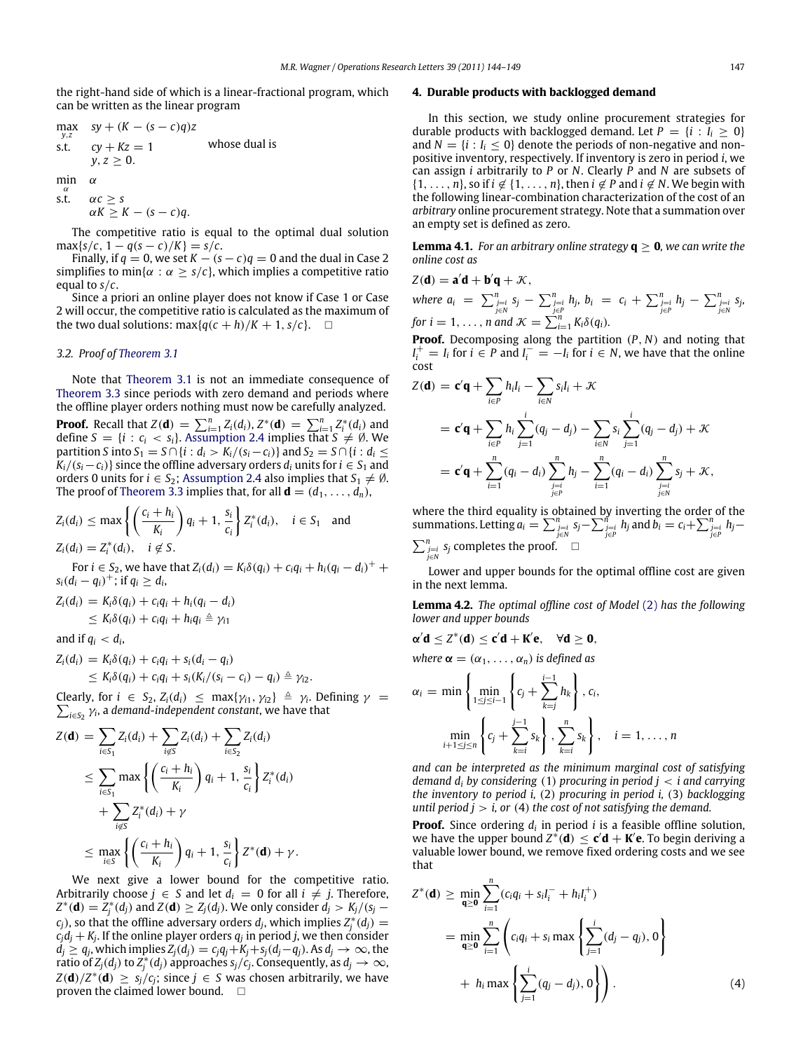the right-hand side of which is a linear-fractional program, which can be written as the linear program

max  
\n
$$
sy + (K - (s - c)q)z
$$
\ns.t.  $cy + Kz = 1$  whose dual is  
\n $y, z \ge 0$ .  
\nmin  
\n $\alpha$   
\ns.t.  $\alpha c \ge s$   
\n $\alpha K \ge K - (s - c)q$ .

The competitive ratio is equal to the optimal dual solution  $max{s/c, 1 - q(s - c)/K} = s/c.$ 

Finally, if  $q = 0$ , we set  $K - (s - c)q = 0$  and the dual in Case 2 simplifies to min{ $\alpha$  :  $\alpha \geq s/c$ }, which implies a competitive ratio equal to *s*/*c*.

Since a priori an online player does not know if Case 1 or Case 2 will occur, the competitive ratio is calculated as the maximum of the two dual solutions:  $\max\{q(c+h)/K+1, s/c\}$ .  $\Box$ 

#### *3.2. Proof of [Theorem 3.1](#page-2-2)*

Note that [Theorem 3.1](#page-2-2) is not an immediate consequence of [Theorem 3.3](#page-2-3) since periods with zero demand and periods where the offline player orders nothing must now be carefully analyzed. **Proof.** Recall that  $Z(\mathbf{d}) = \sum_{i=1}^{n} Z_i(d_i), Z^*(\mathbf{d}) = \sum_{i=1}^{n} Z_i^*(d_i)$  and define  $S = \{i : c_i < s_i\}$ . [Assumption 2.4](#page-1-3) implies that  $S \neq \emptyset$ . We

*partition S* into *S*<sub>1</sub> = *S*∩{*i* : *d*<sub>*i*</sub> > *K*<sub>*i*</sub>/(*s*<sub>*i*</sub> − *c*<sub>*i*</sub>)} and *S*<sub>2</sub> = *S*∩{*i* : *d*<sub>*i*</sub> ≤  $K_i/(s_i-c_i)$  since the offline adversary orders  $d_i$  units for  $i \in S_1$  and orders 0 units for  $i \in S_2$ ; [Assumption 2.4](#page-1-3) also implies that  $S_1 \neq \emptyset$ . The proof of [Theorem 3.3](#page-2-3) implies that, for all  $\mathbf{d} = (d_1, \ldots, d_n)$ ,

$$
Z_i(d_i) \le \max\left\{ \left( \frac{c_i + h_i}{K_i} \right) q_i + 1, \frac{s_i}{c_i} \right\} Z_i^*(d_i), \quad i \in S_1 \text{ and}
$$
  

$$
Z_i(d_i) = Z_i^*(d_i), \quad i \notin S.
$$

**For** *i* ∈ *S*<sub>2</sub>, we have that  $Z_i(d_i) = K_i δ(q_i) + c_i q_i + h_i (q_i - d_i)^+ +$  $s_i(d_i - q_i)^+$ ; if  $q_i \geq d_i$ 

$$
Z_i(d_i) = K_i \delta(q_i) + c_i q_i + h_i (q_i - d_i)
$$
  
\n
$$
\leq K_i \delta(q_i) + c_i q_i + h_i q_i \triangleq \gamma_{i1}
$$

and if  $q_i < d_i$ ,

$$
Z_i(d_i) = K_i \delta(q_i) + c_i q_i + s_i(d_i - q_i)
$$
  
\n
$$
\leq K_i \delta(q_i) + c_i q_i + s_i(K_i/(s_i - c_i) - q_i) \triangleq \gamma_{i2}.
$$

Clearly, for  $i \in S_2$ ,  $Z_i(d_i) \leq \max\{\gamma_{i1}, \gamma_{i2}\} \triangleq \gamma_i$ . Defining  $\gamma =$  $\sum_{i \in S_2} \gamma_i$ , a *demand-independent constant*, we have that

$$
Z(\mathbf{d}) = \sum_{i \in S_1} Z_i(d_i) + \sum_{i \notin S} Z_i(d_i) + \sum_{i \in S_2} Z_i(d_i)
$$
  
\n
$$
\leq \sum_{i \in S_1} \max \left\{ \left( \frac{c_i + h_i}{K_i} \right) q_i + 1, \frac{s_i}{c_i} \right\} Z_i^*(d_i)
$$
  
\n
$$
+ \sum_{i \notin S} Z_i^*(d_i) + \gamma
$$
  
\n
$$
\leq \max_{i \in S} \left\{ \left( \frac{c_i + h_i}{K_i} \right) q_i + 1, \frac{s_i}{c_i} \right\} Z^*(\mathbf{d}) + \gamma.
$$

We next give a lower bound for the competitive ratio. Arbitrarily choose  $j \in S$  and let  $d_i = 0$  for all  $i \neq j$ . Therefore,  $Z^*(\mathbf{d}) = Z^*_j(d_j)$  and  $Z(\mathbf{d}) \ge Z_j(d_j)$ . We only consider  $d_j > K_j/(s_j - j)$  $c_j$ ), so that the offline adversary orders  $d_j$ , which implies  $Z_j^*(d_j) =$  $c_jd_j + K_j$ . If the online player orders  $q_j$  in period *j*, we then consider  $d_j \geq q_j$ , which implies  $Z_j(d_j) = c_jq_j+K_j+s_j(d_j-q_j)$ . As  $d_j \to \infty$ , the ratio of  $Z_j(d_j)$  to  $Z_j^*(d_j)$  approaches  $s_j/c_j$ . Consequently, as  $d_j \to \infty$ ,  $Z(\mathbf{d})/Z^*(\mathbf{d}) \ \geq \ s_j/c_j$ ; since  $j \ \in \ S$  was chosen arbitrarily, we have proven the claimed lower bound.  $\square$ 

#### <span id="page-3-0"></span>**4. Durable products with backlogged demand**

In this section, we study online procurement strategies for durable products with backlogged demand. Let  $P = \{i : I_i > 0\}$ and  $N = \{i : I_i \leq 0\}$  denote the periods of non-negative and nonpositive inventory, respectively. If inventory is zero in period *i*, we can assign *i* arbitrarily to *P* or *N*. Clearly *P* and *N* are subsets of  $\{1, \ldots, n\}$ , so if  $i \notin \{1, \ldots, n\}$ , then  $i \notin P$  and  $i \notin N$ . We begin with the following linear-combination characterization of the cost of an *arbitrary* online procurement strategy. Note that a summation over an empty set is defined as zero.

<span id="page-3-2"></span>**Lemma 4.1.** *For an arbitrary online strategy*  $q \ge 0$ *, we can write the online cost as*

$$
Z(\mathbf{d}) = \mathbf{a}'\mathbf{d} + \mathbf{b}'\mathbf{q} + \mathcal{K},
$$

where  $a_i = \sum_{\substack{j=1 \ j \in N}}^n s_j - \sum_{\substack{j=1 \ j \in P}}^n h_j$ ,  $b_i = c_i + \sum_{\substack{j=1 \ j \in P}}^n h_j - \sum_{\substack{j=1 \ j \in N}}^n s_j$ , for  $i = 1, \ldots, n$  and  $K = \sum_{i=1}^{n} K_i \delta(q_i)$ .

**Proof.** Decomposing along the partition (*P*, *N*) and noting that  $I_i^+ = I_i$  for  $i \in P$  and  $I_i^- = -I_i$  for  $i \in N$ , we have that the online cost

$$
Z(\mathbf{d}) = \mathbf{c}'\mathbf{q} + \sum_{i \in P} h_i I_i - \sum_{i \in N} s_i I_i + \mathcal{K}
$$
  
=  $\mathbf{c}'\mathbf{q} + \sum_{i \in P} h_i \sum_{j=1}^i (q_j - d_j) - \sum_{i \in N} s_i \sum_{j=1}^i (q_j - d_j) + \mathcal{K}$   
=  $\mathbf{c}'\mathbf{q} + \sum_{i=1}^n (q_i - d_i) \sum_{\substack{j=1 \ j \in P}}^n h_j - \sum_{i=1}^n (q_i - d_i) \sum_{\substack{j=1 \ j \in N}}^n s_j + \mathcal{K},$ 

where the third equality is obtained by inverting the order of the summations. Letting  $a_i = \sum_{\substack{j=1 \ j \in N}}^n s_j - \sum_{\substack{j=1 \ j \in P}}^n h_j$  and  $b_i = c_i + \sum_{\substack{j=1 \ j \in P}}^n h_j$  $\sum_{j\in\mathbb{N}}^{n}$  *s<sub>j</sub>* completes the proof. └

Lower and upper bounds for the optimal offline cost are given in the next lemma.

<span id="page-3-3"></span>**Lemma 4.2.** *The optimal offline cost of Model* [\(2\)](#page-2-0) *has the following lower and upper bounds*

$$
\alpha'd\leq Z^*(d)\leq c'd+K'e,\quad \forall d\geq 0,
$$

*where*  $\alpha = (\alpha_1, \ldots, \alpha_n)$  *is defined as* 

$$
\alpha_{i} = \min \left\{ \min_{1 \leq j \leq i-1} \left\{ c_{j} + \sum_{k=j}^{i-1} h_{k} \right\}, c_{i}, \atop \min_{i+1 \leq j \leq n} \left\{ c_{j} + \sum_{k=i}^{j-1} s_{k} \right\}, \sum_{k=i}^{n} s_{k} \right\}, \quad i = 1, \ldots, n
$$

*and can be interpreted as the minimum marginal cost of satisfying demand d<sup>i</sup> by considering* (1) *procuring in period j* < *i and carrying the inventory to period i,* (2) *procuring in period i,* (3) *backlogging until period j* > *i, or* (4) *the cost of not satisfying the demand.*

**Proof.** Since ordering  $d_i$  in period  $i$  is a feasible offline solution, we have the upper bound  $Z^*(d) \leq c'd + K'e$ . To begin deriving a valuable lower bound, we remove fixed ordering costs and we see that

<span id="page-3-1"></span>
$$
Z^*(\mathbf{d}) \ge \min_{\mathbf{q} \ge \mathbf{0}} \sum_{i=1}^n (c_i q_i + s_i l_i^- + h_i l_i^+)
$$
  
= 
$$
\min_{\mathbf{q} \ge \mathbf{0}} \sum_{i=1}^n \left( c_i q_i + s_i \max \left\{ \sum_{j=1}^i (d_j - q_j), 0 \right\} \right)
$$
  
+ 
$$
h_i \max \left\{ \sum_{j=1}^i (q_j - d_j), 0 \right\} \right).
$$
 (4)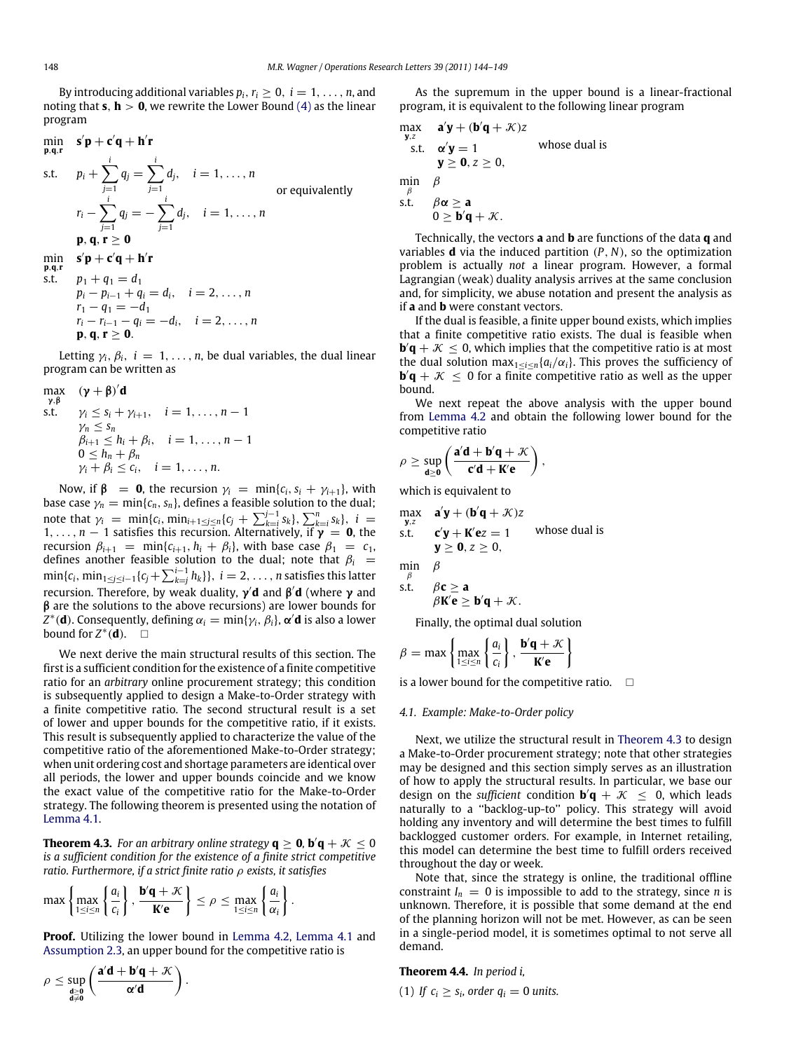By introducing additional variables  $p_i$ ,  $r_i \geq 0$ ,  $i = 1, \ldots, n$ , and noting that **s**,  $\mathbf{h} > 0$ , we rewrite the Lower Bound [\(4\)](#page-3-1) as the linear program

min  
\n*s*'**p** + **c**'**q** + **h**'**r**  
\ns.t. 
$$
p_i + \sum_{j=1}^i q_j = \sum_{j=1}^i d_j
$$
,  $i = 1, ..., n$   
\nor equivalently  
\n $r_i - \sum_{j=1}^i q_j = -\sum_{j=1}^i d_j$ ,  $i = 1, ..., n$   
\n**p**, **q**, **r**  $\ge 0$ 

$$
\min_{p,q,r} \quad s'p+c'q+h'r
$$

s.t. 
$$
p_1 + q_1 = d_1
$$
  
\n $p_i - p_{i-1} + q_i = d_i$ ,  $i = 2, ..., n$   
\n $r_1 - q_1 = -d_1$   
\n $r_i - r_{i-1} - q_i = -d_i$ ,  $i = 2, ..., n$   
\n**p, q, r \ge 0**.

Letting  $\gamma_i$ ,  $\beta_i$ ,  $i = 1, ..., n$ , be dual variables, the dual linear program can be written as

$$
\max_{\gamma, \beta} \quad (\gamma + \beta)' d
$$
\ns.t.  $\gamma_i \le s_i + \gamma_{i+1}, \quad i = 1, \dots, n-1$   
\n $\gamma_n \le s_n$   
\n $\beta_{i+1} \le h_i + \beta_i, \quad i = 1, \dots, n-1$   
\n $0 \le h_n + \beta_n$   
\n $\gamma_i + \beta_i \le c_i, \quad i = 1, \dots, n.$ 

Now, if  $\beta$  = **0**, the recursion  $\gamma_i$  = min{*c<sub>i</sub>*, *s<sub>i</sub>* +  $\gamma_{i+1}$ }, with base case  $\gamma_n = \min\{c_n, s_n\}$ , defines a feasible solution to the dual; note that  $\gamma_i = \min\{c_i, \min_{i+1 \leq j \leq n}\{c_j + \sum_{k=i}^{j-1} s_k\}, \sum_{k=i}^n s_k\}, i =$  $1, \ldots, n-1$  satisfies this recursion. Alternatively, if  $\gamma = 0$ , the recursion  $\beta_{i+1}$  = min{ $c_{i+1}$ ,  $h_i + \beta_i$ }, with base case  $\beta_1$  =  $c_1$ , defines another feasible solution to the dual; note that  $\beta_i$  =  $\min\{c_i, \, \min_{1\leq j\leq i-1}\{c_j+\sum_{k=j}^{i-1}h_k\}\},\ i=2,\ldots,n$  satisfies this latter recursion. Therefore, by weak duality, γ ′**d** and β ′ **d** (where γ and β are the solutions to the above recursions) are lower bounds for  $Z^*(\mathbf{d})$ . Consequently, defining  $\alpha_i = \min\{\gamma_i, \beta_i\}$ ,  $\pmb{\alpha}'\mathbf{d}$  is also a lower bound for  $Z^*(\mathbf{d})$ . □

We next derive the main structural results of this section. The first is a sufficient condition for the existence of a finite competitive ratio for an *arbitrary* online procurement strategy; this condition is subsequently applied to design a Make-to-Order strategy with a finite competitive ratio. The second structural result is a set of lower and upper bounds for the competitive ratio, if it exists. This result is subsequently applied to characterize the value of the competitive ratio of the aforementioned Make-to-Order strategy; when unit ordering cost and shortage parameters are identical over all periods, the lower and upper bounds coincide and we know the exact value of the competitive ratio for the Make-to-Order strategy. The following theorem is presented using the notation of [Lemma 4.1.](#page-3-2)

<span id="page-4-0"></span>**Theorem 4.3.** For an arbitrary online strategy  $q \ge 0$ ,  $b'q + K \le 0$ *is a sufficient condition for the existence of a finite strict competitive ratio. Furthermore, if a strict finite ratio* ρ *exists, it satisfies*

$$
\max\left\{\max_{1\leq i\leq n}\left\{\frac{a_i}{c_i}\right\},\frac{\mathbf{b}'\mathbf{q}+\mathcal{K}}{\mathbf{K}'\mathbf{e}}\right\}\leq \rho\leq \max_{1\leq i\leq n}\left\{\frac{a_i}{\alpha_i}\right\}.
$$

**Proof.** Utilizing the lower bound in [Lemma 4.2,](#page-3-3) [Lemma 4.1](#page-3-2) and [Assumption 2.3,](#page-1-5) an upper bound for the competitive ratio is

$$
\rho \leq \sup_{\substack{d \geq 0 \\ d \neq 0}} \left( \frac{a'd + b'q + \mathcal{K}}{\alpha' d} \right).
$$

As the supremum in the upper bound is a linear-fractional program, it is equivalent to the following linear program

$$
\begin{array}{ll}\n\max_{\mathbf{y},z} & \mathbf{a}'\mathbf{y} + (\mathbf{b}'\mathbf{q} + \mathcal{K})z \\
\text{s.t.} & \mathbf{\alpha}'\mathbf{y} = 1 \\
\mathbf{y} \ge \mathbf{0}, z \ge 0, \\
\min_{\beta} & \beta \\
\text{s.t.} & \beta\mathbf{\alpha} \ge \mathbf{a} \\
0 \ge \mathbf{b}'\mathbf{q} + \mathcal{K}.\n\end{array}
$$
\nwhere  $\mathbf{y} \ge \mathbf{0}$  and  $\mathbf{y} \ge \mathbf{0}$  and  $\mathbf{y} \ge \mathbf{0}$  and  $\mathbf{y} \ge \mathbf{0}$ .

Technically, the vectors **a** and **b** are functions of the data **q** and variables **d** via the induced partition (*P*, *N*), so the optimization problem is actually *not* a linear program. However, a formal Lagrangian (weak) duality analysis arrives at the same conclusion and, for simplicity, we abuse notation and present the analysis as if **a** and **b** were constant vectors.

If the dual is feasible, a finite upper bound exists, which implies that a finite competitive ratio exists. The dual is feasible when **, which implies that the competitive ratio is at most** the dual solution max<sub>1≤*i*≤*n*</sub>{ $a_i/a_i$ }. This proves the sufficiency of  **for a finite competitive ratio as well as the upper** bound.

We next repeat the above analysis with the upper bound from [Lemma 4.2](#page-3-3) and obtain the following lower bound for the competitive ratio

$$
\rho \geq \sup_{d \geq 0} \left( \frac{a'd + b'q + \mathcal{K}}{c'd + K'e} \right),
$$

which is equivalent to

max  
\n<sub>y,z</sub> 
$$
\mathbf{a}'\mathbf{y} + (\mathbf{b}'\mathbf{q} + \mathcal{K})z
$$
  
\ns.t.  $\mathbf{c}'\mathbf{y} + \mathbf{K}'\mathbf{e}z = 1$  whose dual is  
\n $\mathbf{y} \ge \mathbf{0}, z \ge 0$ ,  
\nmin  
\n $\beta$   
\ns.t.  $\beta \mathbf{c} > \mathbf{a}$ 

$$
\beta K' \mathbf{e} \geq \mathbf{b}' \mathbf{q} + \mathcal{K}.
$$

Finally, the optimal dual solution

$$
\beta = \max \left\{ \max_{1 \leq i \leq n} \left\{ \frac{a_i}{c_i} \right\}, \frac{\mathbf{b}'\mathbf{q} + \mathcal{K}}{\mathbf{K}'\mathbf{e}} \right\}
$$

is a lower bound for the competitive ratio.  $\square$ 

# *4.1. Example: Make-to-Order policy*

Next, we utilize the structural result in [Theorem 4.3](#page-4-0) to design a Make-to-Order procurement strategy; note that other strategies may be designed and this section simply serves as an illustration of how to apply the structural results. In particular, we base our design on the *sufficient* condition  $\mathbf{b}'\mathbf{q} + \mathcal{K} \leq 0$ , which leads naturally to a ''backlog-up-to'' policy. This strategy will avoid holding any inventory and will determine the best times to fulfill backlogged customer orders. For example, in Internet retailing, this model can determine the best time to fulfill orders received throughout the day or week.

Note that, since the strategy is online, the traditional offline constraint  $I_n = 0$  is impossible to add to the strategy, since *n* is unknown. Therefore, it is possible that some demand at the end of the planning horizon will not be met. However, as can be seen in a single-period model, it is sometimes optimal to not serve all demand.

#### <span id="page-4-1"></span>**Theorem 4.4.** *In period i,*

(1) If 
$$
c_i \geq s_i
$$
, order  $q_i = 0$  units.